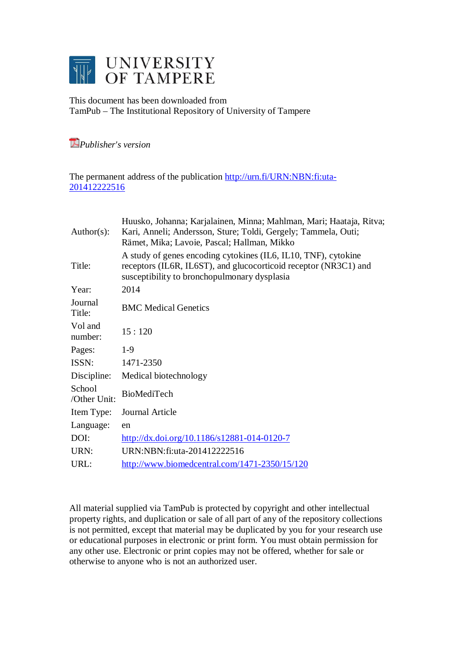

This document has been downloaded from TamPub – The Institutional Repository of University of Tampere

*Publisher's version* 

The permanent address of the publication [http://urn.fi/URN:NBN:fi:uta-](http://urn.fi/URN:NBN:fi:uta-201412222516)[201412222516](http://urn.fi/URN:NBN:fi:uta-201412222516)

| Author(s):             | Huusko, Johanna; Karjalainen, Minna; Mahlman, Mari; Haataja, Ritva;<br>Kari, Anneli; Andersson, Sture; Toldi, Gergely; Tammela, Outi;<br>Rämet, Mika; Lavoie, Pascal; Hallman, Mikko |
|------------------------|--------------------------------------------------------------------------------------------------------------------------------------------------------------------------------------|
| Title:                 | A study of genes encoding cytokines (IL6, IL10, TNF), cytokine<br>receptors (IL6R, IL6ST), and glucocorticoid receptor (NR3C1) and<br>susceptibility to bronchopulmonary dysplasia   |
| Year:                  | 2014                                                                                                                                                                                 |
| Journal<br>Title:      | <b>BMC</b> Medical Genetics                                                                                                                                                          |
| Vol and<br>number:     | 15:120                                                                                                                                                                               |
| Pages:                 | $1-9$                                                                                                                                                                                |
| ISSN:                  | 1471-2350                                                                                                                                                                            |
| Discipline:            | Medical biotechnology                                                                                                                                                                |
| School<br>/Other Unit: | <b>BioMediTech</b>                                                                                                                                                                   |
| Item Type:             | Journal Article                                                                                                                                                                      |
| Language:              | en                                                                                                                                                                                   |
| DOI:                   | $\frac{\text{http://dx.doi.org/10.1186/s12881-014-0120-7}}{2}$                                                                                                                       |
| URN:                   | URN:NBN:fi:uta-201412222516                                                                                                                                                          |
| URL:                   | http://www.biomedcentral.com/1471-2350/15/120                                                                                                                                        |

All material supplied via TamPub is protected by copyright and other intellectual property rights, and duplication or sale of all part of any of the repository collections is not permitted, except that material may be duplicated by you for your research use or educational purposes in electronic or print form. You must obtain permission for any other use. Electronic or print copies may not be offered, whether for sale or otherwise to anyone who is not an authorized user.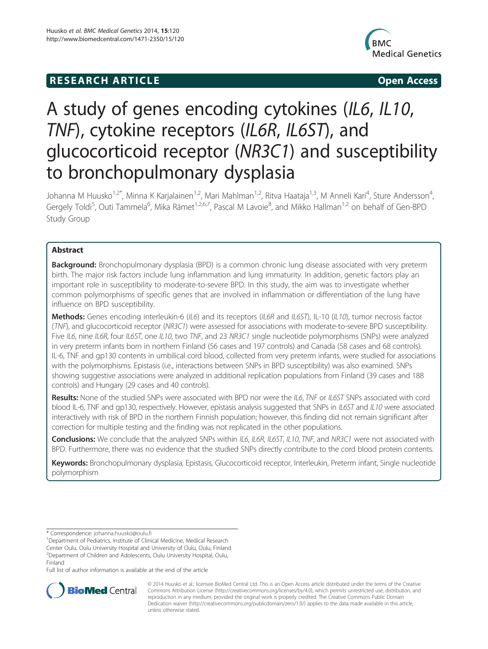## **RESEARCH ARTICLE Example 2014 CONSIDERING CONSIDERING CONSIDERING CONSIDERING CONSIDERING CONSIDERING CONSIDERING CONSIDERING CONSIDERING CONSIDERING CONSIDERING CONSIDERING CONSIDERING CONSIDERING CONSIDERING CONSIDE**



# A study of genes encoding cytokines (IL6, IL10, TNF), cytokine receptors (IL6R, IL6ST), and glucocorticoid receptor (NR3C1) and susceptibility to bronchopulmonary dysplasia

Johanna M Huusko<sup>1,2\*</sup>, Minna K Karjalainen<sup>1,2</sup>, Mari Mahlman<sup>1,2</sup>, Ritva Haataja<sup>1,3</sup>, M Anneli Kari<sup>4</sup>, Sture Andersson<sup>4</sup> , Gergely Toldi<sup>5</sup>, Outi Tammela<sup>6</sup>, Mika Rämet<sup>1,2,6,7</sup>, Pascal M Lavoie<sup>8</sup>, and Mikko Hallman<sup>1,2</sup> on behalf of Gen-BPD Study Group

## Abstract

**Background:** Bronchopulmonary dysplasia (BPD) is a common chronic lung disease associated with very preterm birth. The major risk factors include lung inflammation and lung immaturity. In addition, genetic factors play an important role in susceptibility to moderate-to-severe BPD. In this study, the aim was to investigate whether common polymorphisms of specific genes that are involved in inflammation or differentiation of the lung have influence on BPD susceptibility.

Methods: Genes encoding interleukin-6 (IL6) and its receptors (IL6R and IL6ST), IL-10 (IL10), tumor necrosis factor (TNF), and glucocorticoid receptor (NR3C1) were assessed for associations with moderate-to-severe BPD susceptibility. Five IL6, nine IL6R, four IL6ST, one IL10, two TNF, and 23 NR3C1 single nucleotide polymorphisms (SNPs) were analyzed in very preterm infants born in northern Finland (56 cases and 197 controls) and Canada (58 cases and 68 controls). IL-6, TNF and gp130 contents in umbilical cord blood, collected from very preterm infants, were studied for associations with the polymorphisms. Epistasis (i.e., interactions between SNPs in BPD susceptibility) was also examined. SNPs showing suggestive associations were analyzed in additional replication populations from Finland (39 cases and 188 controls) and Hungary (29 cases and 40 controls).

Results: None of the studied SNPs were associated with BPD nor were the IL6, TNF or IL6ST SNPs associated with cord blood IL-6, TNF and qp130, respectively. However, epistasis analysis suggested that SNPs in IL6ST and IL10 were associated interactively with risk of BPD in the northern Finnish population; however, this finding did not remain significant after correction for multiple testing and the finding was not replicated in the other populations.

Conclusions: We conclude that the analyzed SNPs within IL6, IL6R, IL6ST, IL10, TNF, and NR3C1 were not associated with BPD. Furthermore, there was no evidence that the studied SNPs directly contribute to the cord blood protein contents.

Keywords: Bronchopulmonary dysplasia, Epistasis, Glucocorticoid receptor, Interleukin, Preterm infant, Single nucleotide polymorphism

<sup>1</sup>Department of Pediatrics, Institute of Clinical Medicine, Medical Research Center Oulu, Oulu University Hospital and University of Oulu, Oulu, Finland 2 Department of Children and Adolescents, Oulu University Hospital, Oulu,

Finland

Full list of author information is available at the end of the article



© 2014 Huusko et al.; licensee BioMed Central Ltd. This is an Open Access article distributed under the terms of the Creative Commons Attribution License (http://creativecommons.org/licenses/by/4.0), which permits unrestricted use, distribution, and reproduction in any medium, provided the original work is properly credited. The Creative Commons Public Domain Dedication waiver (http://creativecommons.org/publicdomain/zero/1.0/) applies to the data made available in this article, unless otherwise stated.

<sup>\*</sup> Correspondence: [johanna.huusko@oulu.fi](mailto:johanna.huusko@oulu.fi) <sup>1</sup>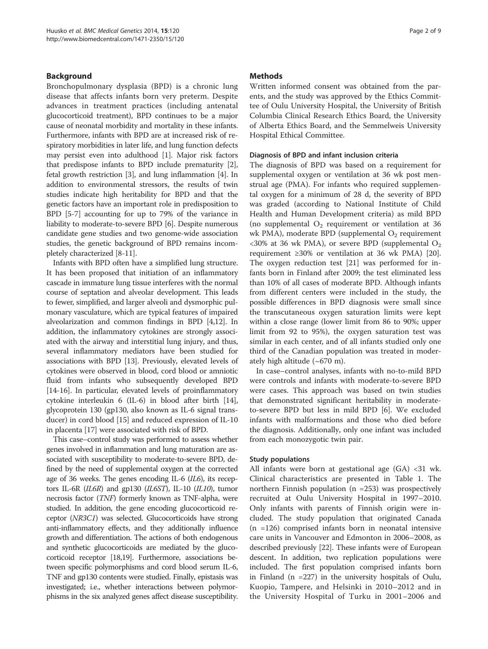## Background

Bronchopulmonary dysplasia (BPD) is a chronic lung disease that affects infants born very preterm. Despite advances in treatment practices (including antenatal glucocorticoid treatment), BPD continues to be a major cause of neonatal morbidity and mortality in these infants. Furthermore, infants with BPD are at increased risk of respiratory morbidities in later life, and lung function defects may persist even into adulthood [[1\]](#page-8-0). Major risk factors that predispose infants to BPD include prematurity [[2](#page-8-0)], fetal growth restriction [\[3\]](#page-8-0), and lung inflammation [[4](#page-8-0)]. In addition to environmental stressors, the results of twin studies indicate high heritability for BPD and that the genetic factors have an important role in predisposition to BPD [\[5](#page-8-0)-[7\]](#page-8-0) accounting for up to 79% of the variance in liability to moderate-to-severe BPD [\[6](#page-8-0)]. Despite numerous candidate gene studies and two genome-wide association studies, the genetic background of BPD remains incompletely characterized [\[8-11\]](#page-8-0).

Infants with BPD often have a simplified lung structure. It has been proposed that initiation of an inflammatory cascade in immature lung tissue interferes with the normal course of septation and alveolar development. This leads to fewer, simplified, and larger alveoli and dysmorphic pulmonary vasculature, which are typical features of impaired alveolarization and common findings in BPD [\[4,12\]](#page-8-0). In addition, the inflammatory cytokines are strongly associated with the airway and interstitial lung injury, and thus, several inflammatory mediators have been studied for associations with BPD [[13\]](#page-8-0). Previously, elevated levels of cytokines were observed in blood, cord blood or amniotic fluid from infants who subsequently developed BPD [[14](#page-8-0)-[16](#page-8-0)]. In particular, elevated levels of proinflammatory cytokine interleukin 6 (IL-6) in blood after birth [[14](#page-8-0)], glycoprotein 130 (gp130, also known as IL-6 signal transducer) in cord blood [\[15\]](#page-8-0) and reduced expression of IL-10 in placenta [\[17\]](#page-8-0) were associated with risk of BPD.

This case–control study was performed to assess whether genes involved in inflammation and lung maturation are associated with susceptibility to moderate-to-severe BPD, defined by the need of supplemental oxygen at the corrected age of 36 weeks. The genes encoding IL-6 (IL6), its receptors IL-6R (IL6R) and gp130 (IL6ST), IL-10 (IL10), tumor necrosis factor (TNF) formerly known as TNF-alpha, were studied. In addition, the gene encoding glucocorticoid receptor (NR3C1) was selected. Glucocorticoids have strong anti-inflammatory effects, and they additionally influence growth and differentiation. The actions of both endogenous and synthetic glucocorticoids are mediated by the glucocorticoid receptor [[18,19](#page-8-0)]. Furthermore, associations between specific polymorphisms and cord blood serum IL-6, TNF and gp130 contents were studied. Finally, epistasis was investigated; i.e., whether interactions between polymorphisms in the six analyzed genes affect disease susceptibility.

## **Methods**

Written informed consent was obtained from the parents, and the study was approved by the Ethics Committee of Oulu University Hospital, the University of British Columbia Clinical Research Ethics Board, the University of Alberta Ethics Board, and the Semmelweis University Hospital Ethical Committee.

#### Diagnosis of BPD and infant inclusion criteria

The diagnosis of BPD was based on a requirement for supplemental oxygen or ventilation at 36 wk post menstrual age (PMA). For infants who required supplemental oxygen for a minimum of 28 d, the severity of BPD was graded (according to National Institute of Child Health and Human Development criteria) as mild BPD (no supplemental  $O_2$  requirement or ventilation at 36 wk PMA), moderate BPD (supplemental  $O<sub>2</sub>$  requirement <30% at 36 wk PMA), or severe BPD (supplemental  $O_2$ requirement ≥30% or ventilation at 36 wk PMA) [\[20](#page-8-0)]. The oxygen reduction test [[21](#page-8-0)] was performed for infants born in Finland after 2009; the test eliminated less than 10% of all cases of moderate BPD. Although infants from different centers were included in the study, the possible differences in BPD diagnosis were small since the transcutaneous oxygen saturation limits were kept within a close range (lower limit from 86 to 90%; upper limit from 92 to 95%), the oxygen saturation test was similar in each center, and of all infants studied only one third of the Canadian population was treated in moderately high altitude  $({\sim}670 \text{ m})$ .

In case–control analyses, infants with no-to-mild BPD were controls and infants with moderate-to-severe BPD were cases. This approach was based on twin studies that demonstrated significant heritability in moderateto-severe BPD but less in mild BPD [[6\]](#page-8-0). We excluded infants with malformations and those who died before the diagnosis. Additionally, only one infant was included from each monozygotic twin pair.

## Study populations

All infants were born at gestational age  $(GA) < 31$  wk. Clinical characteristics are presented in Table [1.](#page-3-0) The northern Finnish population  $(n = 253)$  was prospectively recruited at Oulu University Hospital in 1997–2010. Only infants with parents of Finnish origin were included. The study population that originated Canada (n =126) comprised infants born in neonatal intensive care units in Vancouver and Edmonton in 2006–2008, as described previously [\[22](#page-8-0)]. These infants were of European descent. In addition, two replication populations were included. The first population comprised infants born in Finland (n =227) in the university hospitals of Oulu, Kuopio, Tampere, and Helsinki in 2010–2012 and in the University Hospital of Turku in 2001–2006 and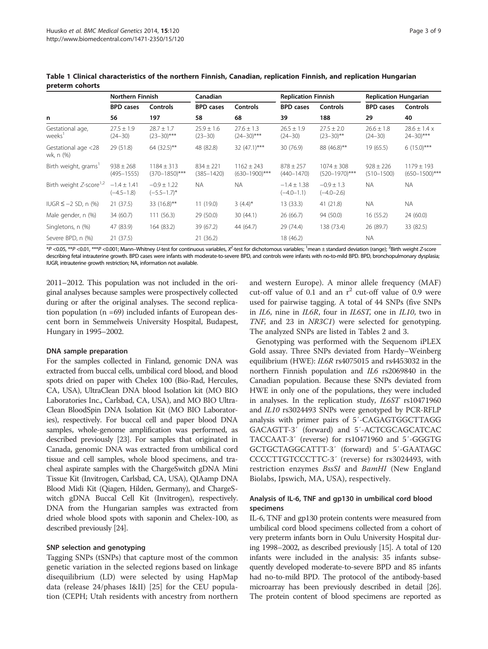|                                        | Northern Finnish                  |                                      | Canadian                        |                                      | <b>Replication Finnish</b>        |                                      | <b>Replication Hungarian</b>    |                                                   |
|----------------------------------------|-----------------------------------|--------------------------------------|---------------------------------|--------------------------------------|-----------------------------------|--------------------------------------|---------------------------------|---------------------------------------------------|
|                                        | <b>BPD</b> cases                  | <b>Controls</b>                      | <b>BPD</b> cases                | <b>Controls</b>                      | <b>BPD</b> cases                  | <b>Controls</b>                      | <b>BPD</b> cases                | <b>Controls</b>                                   |
| n                                      | 56                                | 197                                  | 58                              | 68                                   | 39                                | 188                                  | 29                              | 40                                                |
| Gestational age,<br>weeks <sup>1</sup> | $27.5 \pm 1.9$<br>$(24 - 30)$     | $28.7 \pm 1.7$<br>$(23 - 30)$ ***    | $25.9 \pm 1.6$<br>$(23 - 30)$   | $27.6 \pm 1.3$<br>$(24 - 30)$ ***    | $26.5 \pm 1.9$<br>$(24 - 30)$     | $27.5 \pm 2.0$<br>$(23 - 30)$ **     | $26.6 \pm 1.8$<br>$(24 - 30)$   | $28.6 \pm 1.4 \times$<br>$24 - 30$ <sup>***</sup> |
| Gestational age <28<br>wk, n (%)       | 29 (51.8)                         | 64 (32.5)**                          | 48 (82.8)                       | $32(47.1)$ ***                       | 30 (76.9)                         | 88 (46.8)**                          | 19 (65.5)                       | $6(15.0)$ ***                                     |
| Birth weight, grams                    | $938 \pm 268$<br>$(495 - 1555)$   | $1184 \pm 313$<br>$(370 - 1850)$ *** | $834 \pm 221$<br>$(385 - 1420)$ | $1162 \pm 243$<br>$(630 - 1900)$ *** | $878 \pm 257$<br>$(440 - 1470)$   | $1074 \pm 308$<br>$(520 - 1970)$ *** | $928 \pm 226$<br>$(510 - 1500)$ | $1179 \pm 193$<br>$(650 - 1500)$ ***              |
| Birth weight Z-score <sup>1,2</sup>    | $-1.4 \pm 1.41$<br>$(-4.5 - 1.8)$ | $-0.9 \pm 1.22$<br>$(-5.5 - 1.7)^*$  | NA.                             | NA.                                  | $-1.4 \pm 1.38$<br>$(-4.0 - 1.1)$ | $-0.9 \pm 1.3$<br>$(-4.0 - 2.6)$     | <b>NA</b>                       | <b>NA</b>                                         |
| $IUGR$ ≤ -2 SD, n $%$                  | 21 (37.5)                         | 33 $(16.8)$ **                       | 11(19.0)                        | $3(4.4)^{*}$                         | 13(33.3)                          | 41(21.8)                             | <b>NA</b>                       | <b>NA</b>                                         |
| Male gender, n (%)                     | 34 (60.7)                         | 111 (56.3)                           | 29 (50.0)                       | 30(44.1)                             | 26 (66.7)                         | 94 (50.0)                            | 16(55.2)                        | 24(60.0)                                          |
| Singletons, n (%)                      | 47 (83.9)                         | 164 (83.2)                           | 39 (67.2)                       | 44 (64.7)                            | 29 (74.4)                         | 138 (73.4)                           | 26 (89.7)                       | 33 (82.5)                                         |
| Severe BPD, n (%)                      | 21(37.5)                          |                                      | 21(36.2)                        |                                      | 18 (46.2)                         |                                      | <b>NA</b>                       |                                                   |

<span id="page-3-0"></span>Table 1 Clinical characteristics of the northern Finnish, Canadian, replication Finnish, and replication Hungarian preterm cohorts

\*P <0.05, \*\*P <0.01, \*\*\*P <0.001; Mann–Whitney U-test for continuous variables,  $x^2$ -test for dichotomous variables; <sup>1</sup>mean ± standard deviation (range); <sup>2</sup>Birth weight Z-score describing fetal intrauterine growth. BPD cases were infants with moderate-to-severe BPD, and controls were infants with no-to-mild BPD. BPD, bronchopulmonary dysplasia; IUGR, intrauterine growth restriction; NA, information not available.

2011–2012. This population was not included in the original analyses because samples were prospectively collected during or after the original analyses. The second replication population (n =69) included infants of European descent born in Semmelweis University Hospital, Budapest, Hungary in 1995–2002.

#### DNA sample preparation

For the samples collected in Finland, genomic DNA was extracted from buccal cells, umbilical cord blood, and blood spots dried on paper with Chelex 100 (Bio-Rad, Hercules, CA, USA), UltraClean DNA blood Isolation kit (MO BIO Laboratories Inc., Carlsbad, CA, USA), and MO BIO Ultra-Clean BloodSpin DNA Isolation Kit (MO BIO Laboratories), respectively. For buccal cell and paper blood DNA samples, whole-genome amplification was performed, as described previously [[23](#page-8-0)]. For samples that originated in Canada, genomic DNA was extracted from umbilical cord tissue and cell samples, whole blood specimens, and tracheal aspirate samples with the ChargeSwitch gDNA Mini Tissue Kit (Invitrogen, Carlsbad, CA, USA), QIAamp DNA Blood Midi Kit (Qiagen, Hilden, Germany), and ChargeSwitch gDNA Buccal Cell Kit (Invitrogen), respectively. DNA from the Hungarian samples was extracted from dried whole blood spots with saponin and Chelex-100, as described previously [[24](#page-8-0)].

#### SNP selection and genotyping

Tagging SNPs (tSNPs) that capture most of the common genetic variation in the selected regions based on linkage disequilibrium (LD) were selected by using HapMap data (release 24/phases I&II) [\[25](#page-8-0)] for the CEU population (CEPH; Utah residents with ancestry from northern and western Europe). A minor allele frequency (MAF) cut-off value of 0.1 and an  $r^2$  cut-off value of 0.9 were used for pairwise tagging. A total of 44 SNPs (five SNPs in IL6, nine in IL6R, four in IL6ST, one in IL10, two in TNF, and 23 in NR3C1) were selected for genotyping. The analyzed SNPs are listed in Tables [2](#page-4-0) and [3.](#page-5-0)

Genotyping was performed with the Sequenom iPLEX Gold assay. Three SNPs deviated from Hardy–Weinberg equilibrium (HWE): IL6R rs4075015 and rs4453032 in the northern Finnish population and IL6 rs2069840 in the Canadian population. Because these SNPs deviated from HWE in only one of the populations, they were included in analyses. In the replication study, IL6ST rs10471960 and IL10 rs3024493 SNPs were genotyped by PCR-RFLP analysis with primer pairs of 5′-CAGAGTGGCTTAGG GACAGTT-3′ (forward) and 5′-ACTCGCAGCATCAC TACCAAT-3′ (reverse) for rs10471960 and 5′-GGGTG GCTGCTAGGCATTT-3′ (forward) and 5′-GAATAGC CCCCTTGTCCCTTC-3′ (reverse) for rs3024493, with restriction enzymes *BssSI* and *BamHI* (New England Biolabs, Ipswich, MA, USA), respectively.

#### Analysis of IL-6, TNF and gp130 in umbilical cord blood specimens

IL-6, TNF and gp130 protein contents were measured from umbilical cord blood specimens collected from a cohort of very preterm infants born in Oulu University Hospital during 1998–2002, as described previously [[15\]](#page-8-0). A total of 120 infants were included in the analysis: 35 infants subsequently developed moderate-to-severe BPD and 85 infants had no-to-mild BPD. The protocol of the antibody-based microarray has been previously described in detail [\[26](#page-8-0)]. The protein content of blood specimens are reported as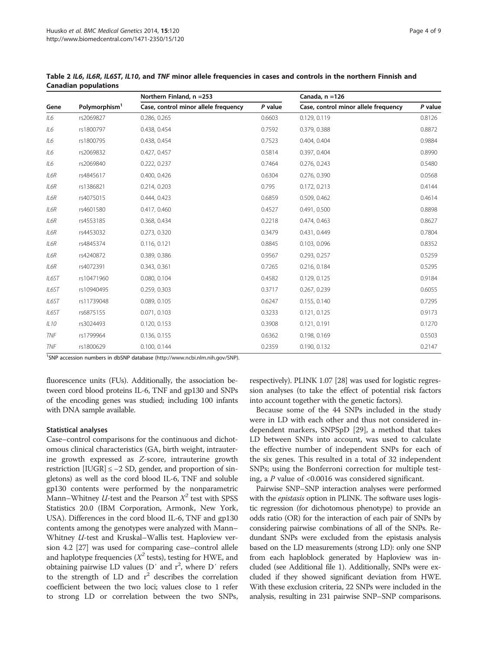|       |                           | Northern Finland, n =253             |         | Canada, n =126                       |         |  |
|-------|---------------------------|--------------------------------------|---------|--------------------------------------|---------|--|
| Gene  | Polymorphism <sup>1</sup> | Case, control minor allele frequency | P value | Case, control minor allele frequency | P value |  |
| IL6   | rs2069827                 | 0.286, 0.265                         | 0.6603  | 0.129, 0.119                         | 0.8126  |  |
| IL6   | rs1800797                 | 0.438, 0.454                         | 0.7592  | 0.379, 0.388                         | 0.8872  |  |
| IL6   | rs1800795                 | 0.438, 0.454                         | 0.7523  | 0.404, 0.404                         | 0.9884  |  |
| IL6   | rs2069832                 | 0.427, 0.457                         | 0.5814  | 0.397, 0.404                         | 0.8990  |  |
| IL6   | rs2069840                 | 0.222, 0.237                         | 0.7464  | 0.276, 0.243                         | 0.5480  |  |
| IL6R  | rs4845617                 | 0.400, 0.426                         | 0.6304  | 0.276, 0.390                         | 0.0568  |  |
| IL6R  | rs1386821                 | 0.214, 0.203                         | 0.795   | 0.172, 0.213                         | 0.4144  |  |
| IL6R  | rs4075015                 | 0.444, 0.423                         | 0.6859  | 0.509, 0.462                         | 0.4614  |  |
| IL6R  | rs4601580                 | 0.417, 0.460                         | 0.4527  | 0.491, 0.500                         | 0.8898  |  |
| IL6R  | rs4553185                 | 0.368, 0.434                         | 0.2218  | 0.474, 0.463                         | 0.8627  |  |
| IL6R  | rs4453032                 | 0.273, 0.320                         | 0.3479  | 0.431, 0.449                         | 0.7804  |  |
| IL6R  | rs4845374                 | 0.116, 0.121                         | 0.8845  | 0.103, 0.096                         | 0.8352  |  |
| IL6R  | rs4240872                 | 0.389, 0.386                         | 0.9567  | 0.293, 0.257                         | 0.5259  |  |
| IL6R  | rs4072391                 | 0.343, 0.361                         | 0.7265  | 0.216, 0.184                         | 0.5295  |  |
| IL6ST | rs10471960                | 0.080, 0.104                         | 0.4582  | 0.129, 0.125                         | 0.9184  |  |
| IL6ST | rs10940495                | 0.259, 0.303                         | 0.3717  | 0.267, 0.239                         | 0.6055  |  |
| IL6ST | rs11739048                | 0.089, 0.105                         | 0.6247  | 0.155, 0.140                         | 0.7295  |  |
| IL6ST | rs6875155                 | 0.071, 0.103                         | 0.3233  | 0.121, 0.125                         | 0.9173  |  |
| IL10  | rs3024493                 | 0.120, 0.153                         | 0.3908  | 0.121, 0.191                         | 0.1270  |  |
| TNF   | rs1799964                 | 0.136, 0.155                         | 0.6362  | 0.198, 0.169                         | 0.5503  |  |
| TNF   | rs1800629                 | 0.100, 0.144                         | 0.2359  | 0.190, 0.132                         | 0.2147  |  |

<span id="page-4-0"></span>Table 2 IL6, IL6R, IL6ST, IL10, and TNF minor allele frequencies in cases and controls in the northern Finnish and Canadian populations

<sup>1</sup>SNP accession numbers in dbSNP database [\(http://www.ncbi.nlm.nih.gov/SNP\)](http://www.ncbi.nlm.nih.gov/SNP).

fluorescence units (FUs). Additionally, the association between cord blood proteins IL-6, TNF and gp130 and SNPs of the encoding genes was studied; including 100 infants with DNA sample available.

#### Statistical analyses

Case–control comparisons for the continuous and dichotomous clinical characteristics (GA, birth weight, intrauterine growth expressed as Z-score, intrauterine growth restriction [IUGR] ≤ −2 SD, gender, and proportion of singletons) as well as the cord blood IL-6, TNF and soluble gp130 contents were performed by the nonparametric Mann–Whitney  $U$ -test and the Pearson  $X^2$  test with SPSS Statistics 20.0 (IBM Corporation, Armonk, New York, USA). Differences in the cord blood IL-6, TNF and gp130 contents among the genotypes were analyzed with Mann– Whitney U-test and Kruskal–Wallis test. Haploview version 4.2 [[27](#page-8-0)] was used for comparing case–control allele and haplotype frequencies ( $X^2$  tests), testing for HWE, and obtaining pairwise LD values  $(D'$  and  $r^2$ , where D' refers to the strength of LD and  $r^2$  describes the correlation coefficient between the two loci; values close to 1 refer to strong LD or correlation between the two SNPs, respectively). PLINK 1.07 [[28](#page-8-0)] was used for logistic regression analyses (to take the effect of potential risk factors into account together with the genetic factors).

Because some of the 44 SNPs included in the study were in LD with each other and thus not considered independent markers, SNPSpD [\[29\]](#page-8-0), a method that takes LD between SNPs into account, was used to calculate the effective number of independent SNPs for each of the six genes. This resulted in a total of 32 independent SNPs; using the Bonferroni correction for multiple testing, a  $P$  value of <0.0016 was considered significant.

Pairwise SNP–SNP interaction analyses were performed with the *epistasis* option in PLINK. The software uses logistic regression (for dichotomous phenotype) to provide an odds ratio (OR) for the interaction of each pair of SNPs by considering pairwise combinations of all of the SNPs. Redundant SNPs were excluded from the epistasis analysis based on the LD measurements (strong LD): only one SNP from each haploblock generated by Haploview was included (see Additional file [1\)](#page-7-0). Additionally, SNPs were excluded if they showed significant deviation from HWE. With these exclusion criteria, 22 SNPs were included in the analysis, resulting in 231 pairwise SNP–SNP comparisons.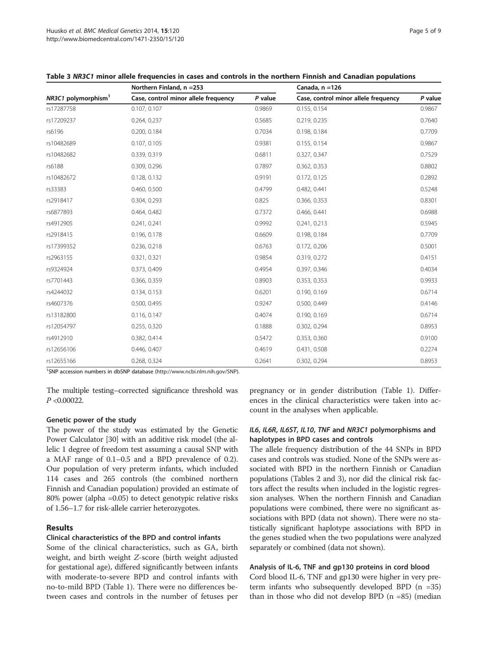|                                 | Northern Finland, n =253             | Canada, $n = 126$ |                                      |         |
|---------------------------------|--------------------------------------|-------------------|--------------------------------------|---------|
| NR3C1 polymorphism <sup>1</sup> | Case, control minor allele frequency | P value           | Case, control minor allele frequency | P value |
| rs17287758                      | 0.107, 0.107                         | 0.9869            | 0.155, 0.154                         | 0.9867  |
| rs17209237                      | 0.264, 0.237                         | 0.5685            | 0.219, 0.235                         | 0.7640  |
| rs6196                          | 0.200, 0.184                         | 0.7034            | 0.198, 0.184                         | 0.7709  |
| rs10482689                      | 0.107, 0.105                         | 0.9381            | 0.155, 0.154                         | 0.9867  |
| rs10482682                      | 0.339, 0.319                         | 0.6811            | 0.327, 0.347                         | 0.7529  |
| rs6188                          | 0.309, 0.296                         | 0.7897            | 0.362, 0.353                         | 0.8802  |
| rs10482672                      | 0.128, 0.132                         | 0.9191            | 0.172, 0.125                         | 0.2892  |
| rs33383                         | 0.460, 0.500                         | 0.4799            | 0.482, 0.441                         | 0.5248  |
| rs2918417                       | 0.304, 0.293                         | 0.825             | 0.366, 0.353                         | 0.8301  |
| rs6877893                       | 0.464, 0.482                         | 0.7372            | 0.466, 0.441                         | 0.6988  |
| rs4912905                       | 0.241, 0.241                         | 0.9992            | 0.241, 0.213                         | 0.5945  |
| rs2918415                       | 0.196, 0.178                         | 0.6609            | 0.198, 0.184                         | 0.7709  |
| rs17399352                      | 0.236, 0.218                         | 0.6763            | 0.172, 0.206                         | 0.5001  |
| rs2963155                       | 0.321, 0.321                         | 0.9854            | 0.319, 0.272                         | 0.4151  |
| rs9324924                       | 0.373, 0.409                         | 0.4954            | 0.397, 0.346                         | 0.4034  |
| rs7701443                       | 0.366, 0.359                         | 0.8903            | 0.353, 0.353                         | 0.9933  |
| rs4244032                       | 0.134, 0.153                         | 0.6201            | 0.190, 0.169                         | 0.6714  |
| rs4607376                       | 0.500, 0.495                         | 0.9247            | 0.500, 0.449                         | 0.4146  |
| rs13182800                      | 0.116, 0.147                         | 0.4074            | 0.190, 0.169                         | 0.6714  |
| rs12054797                      | 0.255, 0.320                         | 0.1888            | 0.302, 0.294                         | 0.8953  |
| rs4912910                       | 0.382, 0.414                         | 0.5472            | 0.353, 0.360                         | 0.9100  |
| rs12656106                      | 0.446, 0.407                         | 0.4619            | 0.431, 0.508                         | 0.2274  |
| rs12655166                      | 0.268, 0.324                         | 0.2641            | 0.302, 0.294                         | 0.8953  |

<span id="page-5-0"></span>

| Table 3 NR3C1 minor allele frequencies in cases and controls in the northern Finnish and Canadian populations |  |  |
|---------------------------------------------------------------------------------------------------------------|--|--|
|---------------------------------------------------------------------------------------------------------------|--|--|

<sup>1</sup>SNP accession numbers in dbSNP database [\(http://www.ncbi.nlm.nih.gov/SNP\)](http://www.ncbi.nlm.nih.gov/SNP).

The multiple testing–corrected significance threshold was  $P < 0.00022$ .

## Genetic power of the study

The power of the study was estimated by the Genetic Power Calculator [\[30\]](#page-8-0) with an additive risk model (the allelic 1 degree of freedom test assuming a causal SNP with a MAF range of 0.1–0.5 and a BPD prevalence of 0.2). Our population of very preterm infants, which included 114 cases and 265 controls (the combined northern Finnish and Canadian population) provided an estimate of 80% power (alpha =0.05) to detect genotypic relative risks of 1.56–1.7 for risk-allele carrier heterozygotes.

## Results

## Clinical characteristics of the BPD and control infants

Some of the clinical characteristics, such as GA, birth weight, and birth weight Z-score (birth weight adjusted for gestational age), differed significantly between infants with moderate-to-severe BPD and control infants with no-to-mild BPD (Table [1\)](#page-3-0). There were no differences between cases and controls in the number of fetuses per

pregnancy or in gender distribution (Table [1](#page-3-0)). Differences in the clinical characteristics were taken into account in the analyses when applicable.

#### IL6, IL6R, IL6ST, IL10, TNF and NR3C1 polymorphisms and haplotypes in BPD cases and controls

The allele frequency distribution of the 44 SNPs in BPD cases and controls was studied. None of the SNPs were associated with BPD in the northern Finnish or Canadian populations (Tables [2](#page-4-0) and 3), nor did the clinical risk factors affect the results when included in the logistic regression analyses. When the northern Finnish and Canadian populations were combined, there were no significant associations with BPD (data not shown). There were no statistically significant haplotype associations with BPD in the genes studied when the two populations were analyzed separately or combined (data not shown).

## Analysis of IL-6, TNF and gp130 proteins in cord blood

Cord blood IL-6, TNF and gp130 were higher in very preterm infants who subsequently developed BPD (n =35) than in those who did not develop BPD (n =85) (median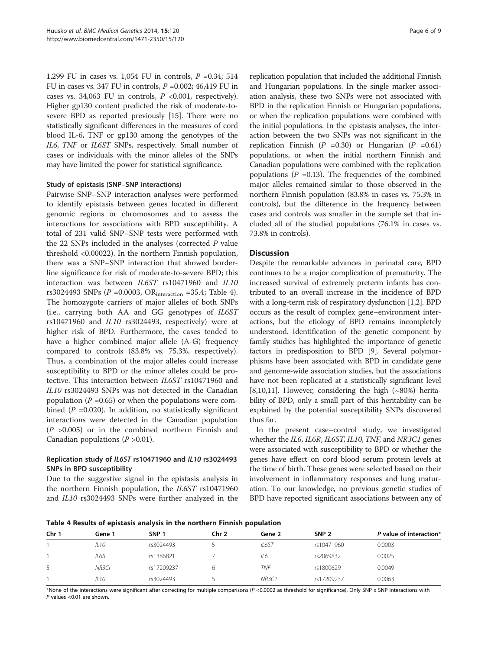1,299 FU in cases vs. 1,054 FU in controls, P =0.34; 514 FU in cases vs. 347 FU in controls,  $P = 0.002$ ; 46,419 FU in cases vs. 34,063 FU in controls,  $P < 0.001$ , respectively). Higher gp130 content predicted the risk of moderate-tosevere BPD as reported previously [[15](#page-8-0)]. There were no statistically significant differences in the measures of cord blood IL-6, TNF or gp130 among the genotypes of the IL6, TNF or IL6ST SNPs, respectively. Small number of cases or individuals with the minor alleles of the SNPs may have limited the power for statistical significance.

#### Study of epistasis (SNP–SNP interactions)

Pairwise SNP–SNP interaction analyses were performed to identify epistasis between genes located in different genomic regions or chromosomes and to assess the interactions for associations with BPD susceptibility. A total of 231 valid SNP–SNP tests were performed with the 22 SNPs included in the analyses (corrected  $P$  value threshold <0.00022). In the northern Finnish population, there was a SNP–SNP interaction that showed borderline significance for risk of moderate-to-severe BPD; this interaction was between IL6ST rs10471960 and IL10 rs3024493 SNPs (P =0.0003, ORinteraction =35.4; Table 4). The homozygote carriers of major alleles of both SNPs (i.e., carrying both AA and GG genotypes of IL6ST rs10471960 and IL10 rs3024493, respectively) were at higher risk of BPD. Furthermore, the cases tended to have a higher combined major allele (A-G) frequency compared to controls (83.8% vs. 75.3%, respectively). Thus, a combination of the major alleles could increase susceptibility to BPD or the minor alleles could be protective. This interaction between IL6ST rs10471960 and IL10 rs3024493 SNPs was not detected in the Canadian population ( $P = 0.65$ ) or when the populations were combined ( $P = 0.020$ ). In addition, no statistically significant interactions were detected in the Canadian population  $(P > 0.005)$  or in the combined northern Finnish and Canadian populations  $(P > 0.01)$ .

## Replication study of IL6ST rs10471960 and IL10 rs3024493 SNPs in BPD susceptibility

Due to the suggestive signal in the epistasis analysis in the northern Finnish population, the IL6ST rs10471960 and IL10 rs3024493 SNPs were further analyzed in the replication population that included the additional Finnish and Hungarian populations. In the single marker association analysis, these two SNPs were not associated with BPD in the replication Finnish or Hungarian populations, or when the replication populations were combined with the initial populations. In the epistasis analyses, the interaction between the two SNPs was not significant in the replication Finnish ( $P = 0.30$ ) or Hungarian ( $P = 0.61$ ) populations, or when the initial northern Finnish and Canadian populations were combined with the replication populations ( $P = 0.13$ ). The frequencies of the combined major alleles remained similar to those observed in the northern Finnish population (83.8% in cases vs. 75.3% in controls), but the difference in the frequency between cases and controls was smaller in the sample set that included all of the studied populations (76.1% in cases vs. 73.8% in controls).

## **Discussion**

Despite the remarkable advances in perinatal care, BPD continues to be a major complication of prematurity. The increased survival of extremely preterm infants has contributed to an overall increase in the incidence of BPD with a long-term risk of respiratory dysfunction [[1,2](#page-8-0)]. BPD occurs as the result of complex gene–environment interactions, but the etiology of BPD remains incompletely understood. Identification of the genetic component by family studies has highlighted the importance of genetic factors in predisposition to BPD [\[9](#page-8-0)]. Several polymorphisms have been associated with BPD in candidate gene and genome-wide association studies, but the associations have not been replicated at a statistically significant level [[8,10,11\]](#page-8-0). However, considering the high  $(\sim 80\%)$  heritability of BPD, only a small part of this heritability can be explained by the potential susceptibility SNPs discovered thus far.

In the present case–control study, we investigated whether the IL6, IL6R, IL6ST, IL10, TNF, and NR3C1 genes were associated with susceptibility to BPD or whether the genes have effect on cord blood serum protein levels at the time of birth. These genes were selected based on their involvement in inflammatory responses and lung maturation. To our knowledge, no previous genetic studies of BPD have reported significant associations between any of

Table 4 Results of epistasis analysis in the northern Finnish population

| Chr 1 | Gene 1            | SNP <sub>1</sub> | Chr 2 | Gene 2       | SNP <sub>2</sub> | P value of interaction* |  |
|-------|-------------------|------------------|-------|--------------|------------------|-------------------------|--|
|       | IL10              | rs3024493        |       | IL6ST        | rs10471960       | 0.0003                  |  |
|       | IL6R              | rs1386821        |       | 116          | rs2069832        | 0.0025                  |  |
| 5     | NR <sub>3CI</sub> | rs17209237       |       | TNF          | rs1800629        | 0.0049                  |  |
|       | IL10              | rs3024493        |       | <b>NR3C1</b> | rs17209237       | 0.0063                  |  |

\*None of the interactions were significant after correcting for multiple comparisons (P <0.0002 as threshold for significance). Only SNP x SNP interactions with P values <0.01 are shown.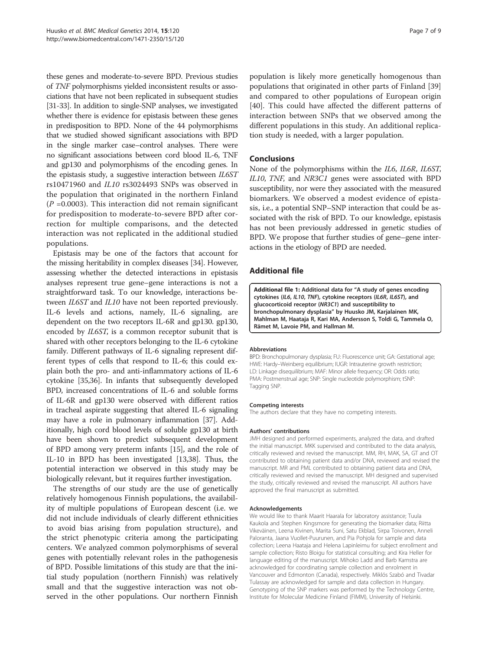<span id="page-7-0"></span>these genes and moderate-to-severe BPD. Previous studies of TNF polymorphisms yielded inconsistent results or associations that have not been replicated in subsequent studies [[31](#page-8-0)-[33\]](#page-9-0). In addition to single-SNP analyses, we investigated whether there is evidence for epistasis between these genes in predisposition to BPD. None of the 44 polymorphisms that we studied showed significant associations with BPD in the single marker case–control analyses. There were no significant associations between cord blood IL-6, TNF and gp130 and polymorphisms of the encoding genes. In the epistasis study, a suggestive interaction between IL6ST rs10471960 and IL10 rs3024493 SNPs was observed in the population that originated in the northern Finland  $(P = 0.0003)$ . This interaction did not remain significant for predisposition to moderate-to-severe BPD after correction for multiple comparisons, and the detected interaction was not replicated in the additional studied populations.

Epistasis may be one of the factors that account for the missing heritability in complex diseases [[34](#page-9-0)]. However, assessing whether the detected interactions in epistasis analyses represent true gene–gene interactions is not a straightforward task. To our knowledge, interactions between IL6ST and IL10 have not been reported previously. IL-6 levels and actions, namely, IL-6 signaling, are dependent on the two receptors IL-6R and gp130. gp130, encoded by IL6ST, is a common receptor subunit that is shared with other receptors belonging to the IL-6 cytokine family. Different pathways of IL-6 signaling represent different types of cells that respond to IL-6; this could explain both the pro- and anti-inflammatory actions of IL-6 cytokine [\[35,36](#page-9-0)]. In infants that subsequently developed BPD, increased concentrations of IL-6 and soluble forms of IL-6R and gp130 were observed with different ratios in tracheal aspirate suggesting that altered IL-6 signaling may have a role in pulmonary inflammation [[37](#page-9-0)]. Additionally, high cord blood levels of soluble gp130 at birth have been shown to predict subsequent development of BPD among very preterm infants [[15](#page-8-0)], and the role of IL-10 in BPD has been investigated [\[13,](#page-8-0)[38\]](#page-9-0). Thus, the potential interaction we observed in this study may be biologically relevant, but it requires further investigation.

The strengths of our study are the use of genetically relatively homogenous Finnish populations, the availability of multiple populations of European descent (i.e. we did not include individuals of clearly different ethnicities to avoid bias arising from population structure), and the strict phenotypic criteria among the participating centers. We analyzed common polymorphisms of several genes with potentially relevant roles in the pathogenesis of BPD. Possible limitations of this study are that the initial study population (northern Finnish) was relatively small and that the suggestive interaction was not observed in the other populations. Our northern Finnish

population is likely more genetically homogenous than populations that originated in other parts of Finland [[39](#page-9-0)] and compared to other populations of European origin [[40\]](#page-9-0). This could have affected the different patterns of interaction between SNPs that we observed among the different populations in this study. An additional replication study is needed, with a larger population.

#### Conclusions

None of the polymorphisms within the IL6, IL6R, IL6ST, IL10, TNF, and NR3C1 genes were associated with BPD susceptibility, nor were they associated with the measured biomarkers. We observed a modest evidence of epistasis, i.e., a potential SNP–SNP interaction that could be associated with the risk of BPD. To our knowledge, epistasis has not been previously addressed in genetic studies of BPD. We propose that further studies of gene–gene interactions in the etiology of BPD are needed.

## Additional file

[Additional file 1:](http://www.biomedcentral.com/content/supplementary/s12881-014-0120-7-s1.pdf) Additional data for "A study of genes encoding cytokines (IL6, IL10, TNF), cytokine receptors (IL6R, IL6ST), and glucocorticoid receptor (NR3C1) and susceptibility to bronchopulmonary dysplasia" by Huusko JM, Karjalainen MK, Mahlman M, Haataja R, Kari MA, Andersson S, Toldi G, Tammela O, Rämet M, Lavoie PM, and Hallman M.

#### Abbreviations

BPD: Bronchopulmonary dysplasia; FU: Fluorescence unit; GA: Gestational age; HWE: Hardy–Weinberg equilibrium; IUGR: Intrauterine growth restriction; LD: Linkage disequilibrium; MAF: Minor allele frequency; OR: Odds ratio; PMA: Postmenstrual age; SNP: Single nucleotide polymorphism; tSNP: Tagging SNP.

#### Competing interests

The authors declare that they have no competing interests.

#### Authors' contributions

JMH designed and performed experiments, analyzed the data, and drafted the initial manuscript. MKK supervised and contributed to the data analysis, critically reviewed and revised the manuscript. MM, RH, MAK, SA, GT and OT contributed to obtaining patient data and/or DNA, reviewed and revised the manuscript. MR and PML contributed to obtaining patient data and DNA, critically reviewed and revised the manuscript. MH designed and supervised the study, critically reviewed and revised the manuscript. All authors have approved the final manuscript as submitted.

#### Acknowledgements

We would like to thank Maarit Haarala for laboratory assistance; Tuula Kaukola and Stephen Kingsmore for generating the biomarker data; Riitta Vikeväinen, Leena Kivinen, Marita Suni, Satu Ekblad, Sirpa Toivonen, Anneli Paloranta, Jaana Vuollet-Puurunen, and Pia Pohjola for sample and data collection; Leena Haataja and Helena Lapinleimu for subject enrollment and sample collection; Risto Bloigu for statistical consulting; and Kira Heller for language editing of the manuscript. Mihoko Ladd and Barb Kamstra are acknowledged for coordinating sample collection and enrolment in Vancouver and Edmonton (Canada), respectively. Miklós Szabó and Tivadar Tulassay are acknowledged for sample and data collection in Hungary. Genotyping of the SNP markers was performed by the Technology Centre, Institute for Molecular Medicine Finland (FIMM), University of Helsinki.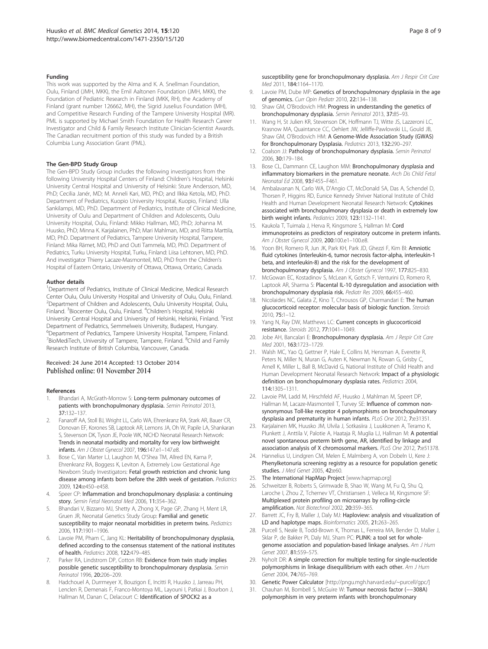#### <span id="page-8-0"></span>Funding

This work was supported by the Alma and K. A. Snellman Foundation, Oulu, Finland (JMH, MKK), the Emil Aaltonen Foundation (JMH, MKK), the Foundation of Pediatric Research in Finland (MKK, RH), the Academy of Finland (grant number 126662, MH), the Sigrid Juselius Foundation (MH), and Competitive Research Funding of the Tampere University Hospital (MR). PML is supported by Michael Smith Foundation for Health Research Career Investigator and Child & Family Research Institute Clinician-Scientist Awards. The Canadian recruitment portion of this study was funded by a British Columbia Lung Association Grant (PML).

#### The Gen-BPD Study Group

The Gen-BPD Study Group includes the following investigators from the following University Hospital Centers of Finland: Children's Hospital, Helsinki University Central Hospital and University of Helsinki: Sture Andersson, MD, PhD; Cecilia Janér, MD; M. Anneli Kari, MD, PhD; and Ilkka Ketola, MD, PhD. Department of Pediatrics, Kuopio University Hospital, Kuopio, Finland: Ulla Sankilampi, MD, PhD. Department of Pediatrics, Institute of Clinical Medicine, University of Oulu and Department of Children and Adolescents, Oulu University Hospital, Oulu, Finland: Mikko Hallman, MD, PhD; Johanna M. Huusko, PhD; Minna K. Karjalainen, PhD; Mari Mahlman, MD; and Riitta Marttila, MD, PhD. Department of Pediatrics, Tampere University Hospital, Tampere, Finland: Mika Rämet, MD, PhD and Outi Tammela, MD, PhD. Department of Pediatrics, Turku University Hospital, Turku, Finland: Liisa Lehtonen, MD, PhD. And investigator Thierry Lacaze-Masmonteil, MD, PhD from the Children's Hospital of Eastern Ontario, University of Ottawa, Ottawa, Ontario, Canada.

#### Author details

<sup>1</sup>Department of Pediatrics, Institute of Clinical Medicine, Medical Research Center Oulu, Oulu University Hospital and University of Oulu, Oulu, Finland. <sup>2</sup> Department of Children and Adolescents, Oulu University Hospital, Oulu, Finland. <sup>3</sup>Biocenter Oulu, Oulu, Finland. <sup>4</sup>Children's Hospital, Helsinki University Central Hospital and University of Helsinki, Helsinki, Finland. <sup>5</sup>First Department of Pediatrics, Semmelweis University, Budapest, Hungary. <sup>6</sup>Department of Pediatrics, Tampere University Hospital, Tampere, Finland. <sup>7</sup> BioMediTech, University of Tampere, Tampere, Finland. <sup>8</sup> Child and Family Research Institute of British Columbia, Vancouver, Canada.

#### Received: 24 June 2014 Accepted: 13 October 2014 Published online: 01 November 2014

#### References

- 1. Bhandari A, McGrath-Morrow S: Long-term pulmonary outcomes of patients with bronchopulmonary dysplasia. Semin Perinatol 2013, 37:132–137.
- 2. Fanaroff AA, Stoll BJ, Wright LL, Carlo WA, Ehrenkranz RA, Stark AR, Bauer CR, Donovan EF, Korones SB, Laptook AR, Lemons JA, Oh W, Papile LA, Shankaran S, Stevenson DK, Tyson JE, Poole WK, NICHD Neonatal Research Network: Trends in neonatal morbidity and mortality for very low birthweight infants. Am J Obstet Gynecol 2007, 196:147.e1–147.e8.
- Bose C, Van Marter LJ, Laughon M, O'Shea TM, Allred EN, Karna P, Ehrenkranz RA, Boggess K, Leviton A, Extremely Low Gestational Age Newborn Study Investigators: Fetal growth restriction and chronic lung disease among infants born before the 28th week of gestation. Pediatrics 2009, 124:e450–e458.
- 4. Speer CP: Inflammation and bronchopulmonary dysplasia: a continuing story. Semin Fetal Neonatal Med 2006, 11:354–362.
- 5. Bhandari V, Bizzarro MJ, Shetty A, Zhong X, Page GP, Zhang H, Ment LR, Gruen JR, Neonatal Genetics Study Group: Familial and genetic susceptibility to major neonatal morbidities in preterm twins. Pediatrics 2006, 117:1901–1906.
- 6. Lavoie PM, Pham C, Jang KL: Heritability of bronchopulmonary dysplasia, defined according to the consensus statement of the national institutes of health. Pediatrics 2008, 122:479–485.
- 7. Parker RA, Lindstrom DP, Cotton RB: Evidence from twin study implies possible genetic susceptibility to bronchopulmonary dysplasia. Semin Perinatol 1996, 20:206–209.
- 8. Hadchouel A, Durrmeyer X, Bouzigon E, Incitti R, Huusko J, Jarreau PH, Lenclen R, Demenais F, Franco-Montoya ML, Layouni I, Patkai J, Bourbon J, Hallman M, Danan C, Delacourt C: Identification of SPOCK2 as a

susceptibility gene for bronchopulmonary dysplasia. Am J Respir Crit Care Med 2011, 184:1164–1170.

- 9. Lavoie PM, Dube MP: Genetics of bronchopulmonary dysplasia in the age of genomics. Curr Opin Pediatr 2010, 22:134–138.
- 10. Shaw GM, O'Brodovich HM: Progress in understanding the genetics of bronchopulmonary dysplasia. Semin Perinatol 2013, 37:85–93.
- 11. Wang H, St Julien KR, Stevenson DK, Hoffmann TJ, Witte JS, Lazzeroni LC, Krasnow MA, Quaintance CC, Oehlert JW, Jelliffe-Pawlowski LL, Gould JB, Shaw GM, O'Brodovich HM: A Genome-Wide Association Study (GWAS) for Bronchopulmonary Dysplasia. Pediatrics 2013, 132:290–297.
- 12. Coalson JJ: Pathology of bronchopulmonary dysplasia. Semin Perinatol 2006, 30:179–184.
- 13. Bose CL, Dammann CE, Laughon MM: Bronchopulmonary dysplasia and inflammatory biomarkers in the premature neonate. Arch Dis Child Fetal Neonatal Ed 2008, 93:F455–F461.
- 14. Ambalavanan N, Carlo WA, D'Angio CT, McDonald SA, Das A, Schendel D, Thorsen P, Higgins RD, Eunice Kennedy Shriver National Institute of Child Health and Human Development Neonatal Research Network: Cytokines associated with bronchopulmonary dysplasia or death in extremely low birth weight infants. Pediatrics 2009, 123:1132–1141.
- 15. Kaukola T, Tuimala J, Herva R, Kingsmore S, Hallman M: Cord immunoproteins as predictors of respiratory outcome in preterm infants. Am J Obstet Gynecol 2009, 200:100.e1–100.e8.
- 16. Yoon BH, Romero R, Jun JK, Park KH, Park JD, Ghezzi F, Kim BI: Amniotic fluid cytokines (interleukin-6, tumor necrosis factor-alpha, interleukin-1 beta, and interleukin-8) and the risk for the development of bronchopulmonary dysplasia. Am J Obstet Gynecol 1997, 177:825–830.
- 17. McGowan EC, Kostadinov S, McLean K, Gotsch F, Venturini D, Romero R, Laptook AR, Sharma S: Placental IL-10 dysregulation and association with bronchopulmonary dysplasia risk. Pediatr Res 2009, 66:455–460.
- 18. Nicolaides NC, Galata Z, Kino T, Chrousos GP, Charmandari E: The human glucocorticoid receptor: molecular basis of biologic function. Steroids 2010, 75:1–12.
- 19. Yang N, Ray DW, Matthews LC: Current concepts in glucocorticoid resistance. Steroids 2012, 77:1041–1049.
- 20. Jobe AH, Bancalari E: Bronchopulmonary dysplasia. Am J Respir Crit Care Med 2001, 163:1723–1729.
- 21. Walsh MC, Yao Q, Gettner P, Hale E, Collins M, Hensman A, Everette R, Peters N, Miller N, Muran G, Auten K, Newman N, Rowan G, Grisby C, Arnell K, Miller L, Ball B, McDavid G, National Institute of Child Health and Human Development Neonatal Research Network: Impact of a physiologic definition on bronchopulmonary dysplasia rates. Pediatrics 2004, 114:1305–1311.
- 22. Lavoie PM, Ladd M, Hirschfeld AF, Huusko J, Mahlman M, Speert DP, Hallman M, Lacaze-Masmonteil T, Turvey SE: Influence of common nonsynonymous Toll-like receptor 4 polymorphisms on bronchopulmonary dysplasia and prematurity in human infants. PLoS One 2012, 7:e31351.
- 23. Karjalainen MK, Huusko JM, Ulvila J, Sotkasiira J, Luukkonen A, Teramo K, Plunkett J, Anttila V, Palotie A, Haataja R, Muglia LJ, Hallman M: A potential novel spontaneous preterm birth gene, AR, identified by linkage and association analysis of X chromosomal markers. PLoS One 2012, 7:e51378.
- 24. Hannelius U, Lindgren CM, Melen E, Malmberg A, von Dobeln U, Kere J: Phenylketonuria screening registry as a resource for population genetic studies. J Med Genet 2005, 42:e60.
- 25. The International HapMap Project [[www.hapmap.org\]](http://www.hapmap.org)
- 26. Schweitzer B, Roberts S, Grimwade B, Shao W, Wang M, Fu Q, Shu Q, Laroche I, Zhou Z, Tchernev VT, Christiansen J, Velleca M, Kingsmore SF: Multiplexed protein profiling on microarrays by rolling-circle amplification. Nat Biotechnol 2002, 20:359–365.
- 27. Barrett JC, Fry B, Maller J, Daly MJ: Haploview: analysis and visualization of LD and haplotype maps. Bioinformatics 2005, 21:263-265.
- 28. Purcell S, Neale B, Todd-Brown K, Thomas L, Ferreira MA, Bender D, Maller J, Sklar P, de Bakker PI, Daly MJ, Sham PC: PLINK: a tool set for wholegenome association and population-based linkage analyses. Am J Hum Genet 2007, 81:559–575.
- 29. Nyholt DR: A simple correction for multiple testing for single-nucleotide polymorphisms in linkage disequilibrium with each other. Am J Hum Genet 2004, 74:765–769.
- 30. Genetic Power Calculator [\[http://pngu.mgh.harvard.edu/~purcell/gpc/](http://pngu.mgh.harvard.edu/~purcell/gpc/)]
- 31. Chauhan M, Bombell S, McGuire W: Tumour necrosis factor (−−308A) polymorphism in very preterm infants with bronchopulmonary